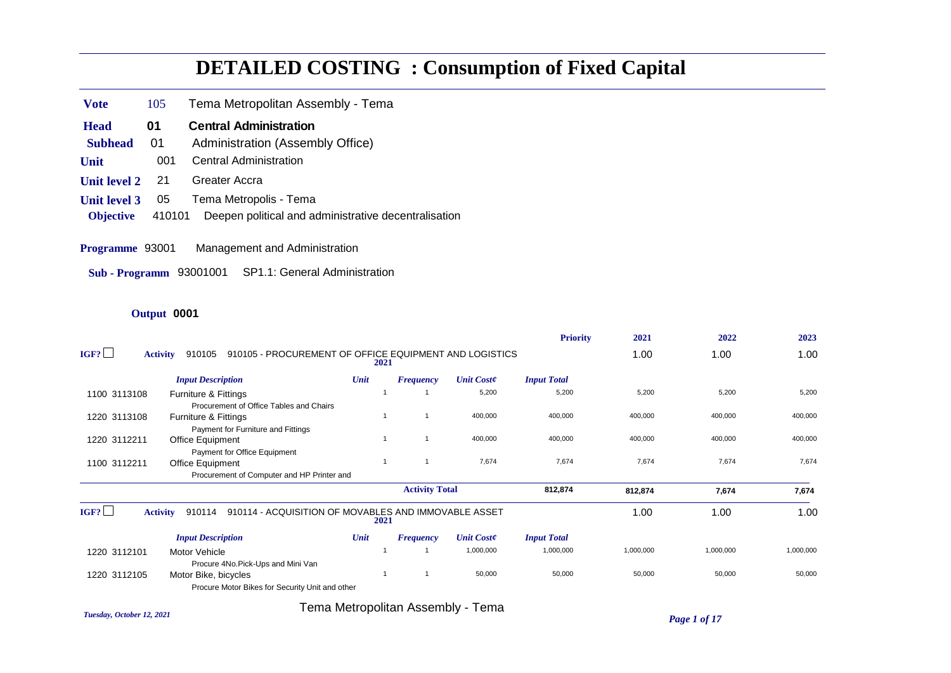# **DETAILED COSTING : Consumption of Fixed Capital**

- **Vote** 105 Tema Metropolitan Assembly Tema
- **Head** 01 Central Administration
- **Subhead** 01 Administration (Assembly Office)
- **Unit** 001 Central Administration
- **Unit level 2** 21 Greater Accra
- **Unit level 3** 05 Tema Metropolis Tema
- **Objective** 410101 Deepen political and administrative decentralisation
- **Programme** 93001 Management and Administration
- **Sub Programm** 93001001 SP1.1: General Administration

#### **Output** 0001

|              |                                                                                     |      |                       |                   | <b>Priority</b>    | 2021      | 2022      | 2023      |
|--------------|-------------------------------------------------------------------------------------|------|-----------------------|-------------------|--------------------|-----------|-----------|-----------|
| IGF?         | 910105 - PROCUREMENT OF OFFICE EQUIPMENT AND LOGISTICS<br>910105<br><b>Activity</b> | 2021 |                       |                   |                    | 1.00      | 1.00      | 1.00      |
|              | <b>Input Description</b>                                                            | Unit | <b>Frequency</b>      | <b>Unit Coste</b> | <b>Input Total</b> |           |           |           |
| 1100 3113108 | Furniture & Fittings<br>Procurement of Office Tables and Chairs                     |      |                       | 5,200             | 5,200              | 5,200     | 5,200     | 5,200     |
| 1220 3113108 | <b>Furniture &amp; Fittings</b>                                                     |      |                       | 400,000           | 400,000            | 400,000   | 400,000   | 400,000   |
| 1220 3112211 | Payment for Furniture and Fittings<br><b>Office Equipment</b>                       |      |                       | 400,000           | 400,000            | 400,000   | 400,000   | 400,000   |
| 1100 3112211 | Payment for Office Equipment<br><b>Office Equipment</b>                             |      |                       | 7,674             | 7,674              | 7,674     | 7,674     | 7,674     |
|              | Procurement of Computer and HP Printer and                                          |      |                       |                   |                    |           |           |           |
|              |                                                                                     |      | <b>Activity Total</b> |                   | 812,874            | 812,874   | 7,674     | 7,674     |
| IGF?         | 910114 - ACQUISITION OF MOVABLES AND IMMOVABLE ASSET<br><b>Activity</b><br>910114   | 2021 |                       |                   |                    | 1.00      | 1.00      | 1.00      |
|              | <b>Input Description</b>                                                            | Unit | <b>Frequency</b>      | <b>Unit Coste</b> | <b>Input Total</b> |           |           |           |
| 1220 3112101 | Motor Vehicle<br>Procure 4No.Pick-Ups and Mini Van                                  |      |                       | 1,000,000         | 1,000,000          | 1,000,000 | 1,000,000 | 1,000,000 |
| 1220 3112105 | Motor Bike, bicycles<br>Procure Motor Bikes for Security Unit and other             |      |                       | 50,000            | 50,000             | 50,000    | 50,000    | 50,000    |

*Tuesday, October 12, 2021 Page 1 of 17* Tema Metropolitan Assembly - Tema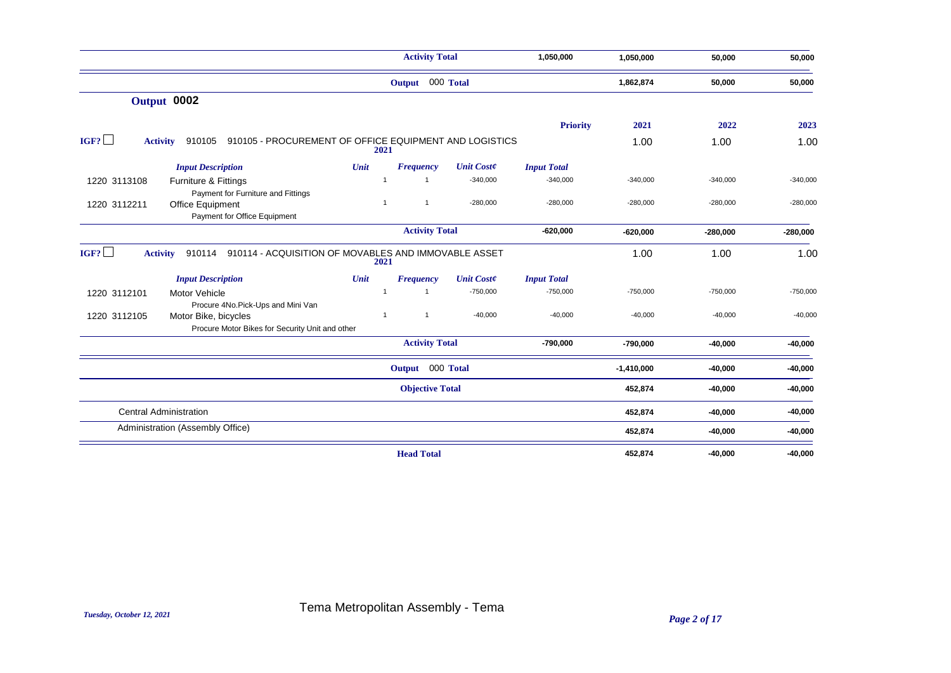|                                                                                                                              |      | <b>Activity Total</b>            |                   | 1,050,000          | 1,050,000    | 50,000     | 50,000     |
|------------------------------------------------------------------------------------------------------------------------------|------|----------------------------------|-------------------|--------------------|--------------|------------|------------|
|                                                                                                                              |      | Output 000 Total                 |                   |                    | 1,862,874    | 50,000     | 50,000     |
| Output 0002                                                                                                                  |      |                                  |                   |                    |              |            |            |
|                                                                                                                              |      |                                  |                   | <b>Priority</b>    | 2021         | 2022       | 2023       |
| IGF?<br>910105 - PROCUREMENT OF OFFICE EQUIPMENT AND LOGISTICS<br>910105<br><b>Activity</b>                                  |      | 2021                             |                   |                    | 1.00         | 1.00       | 1.00       |
| <b>Input Description</b>                                                                                                     | Unit | <b>Frequency</b>                 | <b>Unit Coste</b> | <b>Input Total</b> |              |            |            |
| 1220 3113108<br>Furniture & Fittings                                                                                         |      | $\overline{1}$<br>$\overline{1}$ | $-340,000$        | $-340,000$         | $-340,000$   | $-340,000$ | $-340,000$ |
| Payment for Furniture and Fittings<br>1220 3112211<br>Office Equipment<br>Payment for Office Equipment                       |      | $\mathbf{1}$<br>$\overline{1}$   | $-280,000$        | $-280,000$         | $-280,000$   | $-280,000$ | $-280,000$ |
|                                                                                                                              |      | <b>Activity Total</b>            |                   | $-620,000$         | $-620,000$   | $-280,000$ | $-280,000$ |
| IGF?<br>910114 - ACQUISITION OF MOVABLES AND IMMOVABLE ASSET<br>910114<br><b>Activity</b>                                    |      | 2021                             |                   |                    | 1.00         | 1.00       | 1.00       |
| <b>Input Description</b>                                                                                                     | Unit | <b>Frequency</b>                 | <b>Unit Coste</b> | <b>Input Total</b> |              |            |            |
| 1220 3112101<br>Motor Vehicle                                                                                                |      | $\overline{1}$<br>$\overline{1}$ | $-750,000$        | $-750,000$         | $-750,000$   | $-750,000$ | $-750,000$ |
| Procure 4No.Pick-Ups and Mini Van<br>Motor Bike, bicycles<br>1220 3112105<br>Procure Motor Bikes for Security Unit and other |      | $\mathbf{1}$<br>$\overline{1}$   | $-40,000$         | $-40,000$          | $-40,000$    | $-40,000$  | $-40,000$  |
|                                                                                                                              |      | <b>Activity Total</b>            |                   | $-790,000$         | $-790,000$   | $-40,000$  | $-40,000$  |
|                                                                                                                              |      | Output 000 Total                 |                   |                    | $-1,410,000$ | $-40,000$  | $-40,000$  |
|                                                                                                                              |      | <b>Objective Total</b>           |                   |                    | 452,874      | $-40,000$  | $-40,000$  |
| <b>Central Administration</b>                                                                                                |      |                                  |                   |                    | 452,874      | $-40,000$  | $-40,000$  |
| Administration (Assembly Office)                                                                                             |      |                                  |                   |                    | 452,874      | $-40,000$  | $-40,000$  |
|                                                                                                                              |      | <b>Head Total</b>                |                   |                    | 452,874      | $-40,000$  | $-40,000$  |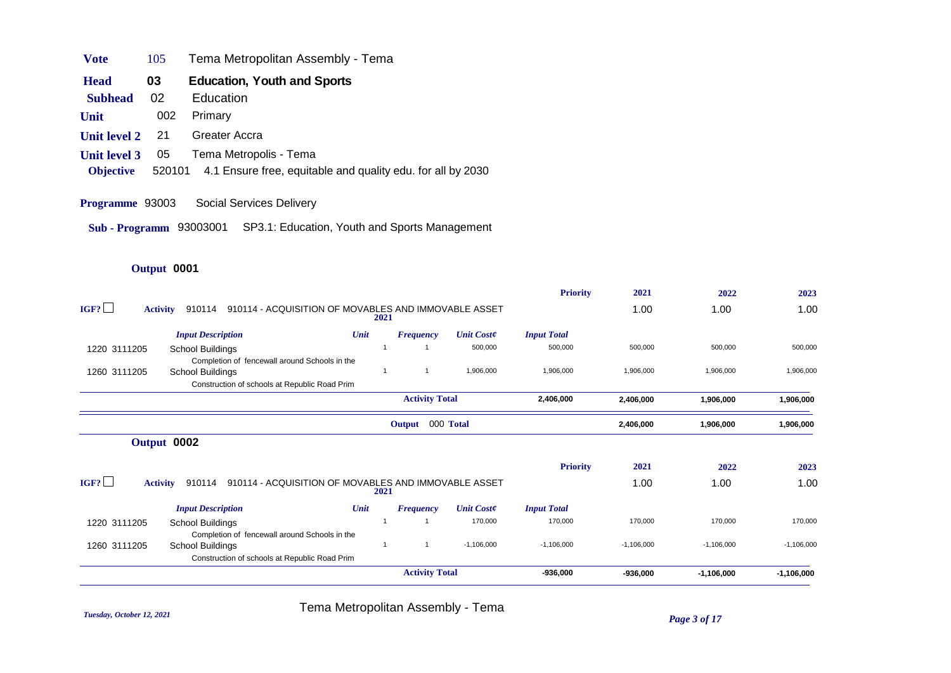| <b>Vote</b><br>105 | Tema Metropolitan Assembly - Tema |  |
|--------------------|-----------------------------------|--|
|--------------------|-----------------------------------|--|

- **Head** 03 Education, Youth and Sports
- **Subhead** 02 Education
- **Unit** 002 Primary
- **Unit level 2** 21 Greater Accra
- **Unit level 3** 05 Tema Metropolis Tema
- **Objective** 520101 4.1 Ensure free, equitable and quality edu. for all by 2030
- **Programme** 93003 Social Services Delivery
- **Sub Programm** 93003001 SP3.1: Education, Youth and Sports Management

## **Output** 0001

|                         |                                                                |      |                       |                   | <b>Priority</b>    | 2021         | 2022         | 2023         |
|-------------------------|----------------------------------------------------------------|------|-----------------------|-------------------|--------------------|--------------|--------------|--------------|
| IGF?<br><b>Activity</b> | 910114 - ACQUISITION OF MOVABLES AND IMMOVABLE ASSET<br>910114 |      | 2021                  |                   |                    | 1.00         | 1.00         | 1.00         |
|                         | <b>Input Description</b>                                       | Unit | <b>Frequency</b>      | <b>Unit Coste</b> | <b>Input Total</b> |              |              |              |
| 1220 3111205            | School Buildings                                               |      |                       | 500,000           | 500,000            | 500,000      | 500,000      | 500,000      |
|                         | Completion of fencewall around Schools in the                  |      |                       |                   |                    |              |              |              |
| 1260 3111205            | School Buildings                                               |      |                       | 1,906,000         | 1,906,000          | 1,906,000    | 1,906,000    | 1,906,000    |
|                         | Construction of schools at Republic Road Prim                  |      |                       |                   |                    |              |              |              |
|                         |                                                                |      | <b>Activity Total</b> |                   | 2,406,000          | 2,406,000    | 1,906,000    | 1,906,000    |
|                         |                                                                |      | Output 000 Total      |                   |                    | 2,406,000    | 1,906,000    | 1,906,000    |
|                         | Output 0002                                                    |      |                       |                   |                    |              |              |              |
|                         |                                                                |      |                       |                   | <b>Priority</b>    | 2021         | 2022         | 2023         |
| IGF?<br><b>Activity</b> | 910114 - ACQUISITION OF MOVABLES AND IMMOVABLE ASSET<br>910114 |      | 2021                  |                   |                    | 1.00         | 1.00         | 1.00         |
|                         | <b>Input Description</b>                                       | Unit | <b>Frequency</b>      | <b>Unit Coste</b> | <b>Input Total</b> |              |              |              |
| 1220 3111205            | School Buildings                                               |      |                       | 170,000           | 170,000            | 170,000      | 170,000      | 170,000      |
|                         | Completion of fencewall around Schools in the                  |      |                       |                   |                    |              |              |              |
| 1260 3111205            | School Buildings                                               |      |                       | $-1,106,000$      | $-1,106,000$       | $-1,106,000$ | $-1,106,000$ | $-1,106,000$ |
|                         | Construction of schools at Republic Road Prim                  |      |                       |                   |                    |              |              |              |
|                         |                                                                |      | <b>Activity Total</b> |                   | $-936,000$         | $-936,000$   | $-1,106,000$ | $-1,106,000$ |

*Tuesday, October 12, 2021 Page 3 of 17* Tema Metropolitan Assembly - Tema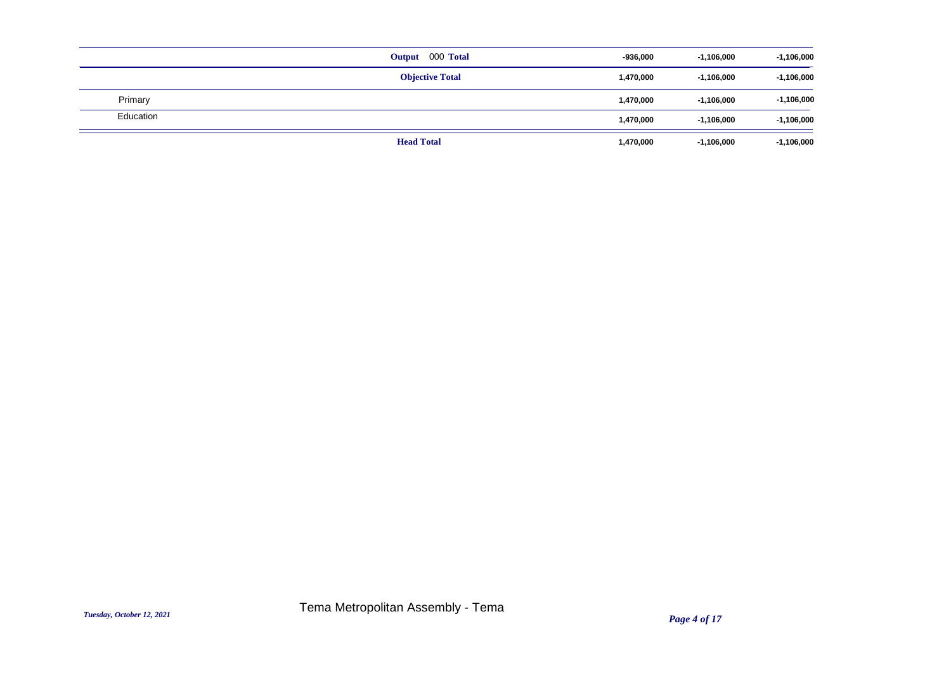|           | Output 000 Total       | $-936,000$ | $-1,106,000$ | $-1,106,000$ |
|-----------|------------------------|------------|--------------|--------------|
|           | <b>Objective Total</b> | 1,470,000  | $-1,106,000$ | $-1,106,000$ |
| Primary   |                        | 1,470,000  | $-1,106,000$ | $-1,106,000$ |
| Education |                        | 1,470,000  | $-1,106,000$ | $-1,106,000$ |
|           | <b>Head Total</b>      | 1,470,000  | $-1,106,000$ | $-1,106,000$ |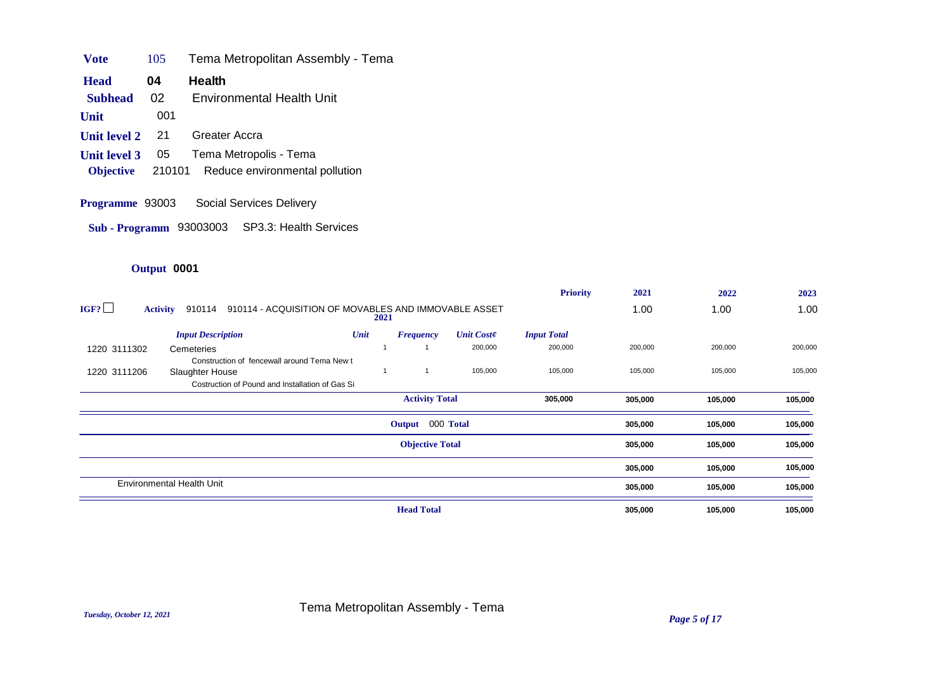| <b>V</b> ote | 105 | Tema Metropolitan Assembly - Tema |  |
|--------------|-----|-----------------------------------|--|
|--------------|-----|-----------------------------------|--|

- **Head** 04 Health
- **Subhead** 02 Environmental Health Unit
- **Unit** 001
- **Unit level 2** 21 Greater Accra
- **Unit level 3** 05 Tema Metropolis Tema
- **Objective** 210101 Reduce environmental pollution
- **Programme** 93003 Social Services Delivery

**Sub - Programm** 93003003 SP3.3: Health Services

|              |                                                                                   |      |                        |                   | <b>Priority</b>    | 2021    | 2022    | 2023    |
|--------------|-----------------------------------------------------------------------------------|------|------------------------|-------------------|--------------------|---------|---------|---------|
| IGF?         | 910114 - ACQUISITION OF MOVABLES AND IMMOVABLE ASSET<br>910114<br><b>Activity</b> | 2021 |                        |                   |                    | 1.00    | 1.00    | 1.00    |
|              | <b>Input Description</b>                                                          | Unit | <b>Frequency</b>       | <b>Unit Coste</b> | <b>Input Total</b> |         |         |         |
| 1220 3111302 | Cemeteries<br>Construction of fencewall around Tema New t                         |      |                        | 200,000           | 200,000            | 200,000 | 200,000 | 200,000 |
| 1220 3111206 | Slaughter House<br>Costruction of Pound and Installation of Gas Si                |      | $\overline{1}$         | 105,000           | 105,000            | 105,000 | 105,000 | 105,000 |
|              |                                                                                   |      | <b>Activity Total</b>  |                   | 305,000            | 305,000 | 105,000 | 105,000 |
|              |                                                                                   |      | Output 000 Total       |                   |                    | 305,000 | 105,000 | 105,000 |
|              |                                                                                   |      | <b>Objective Total</b> |                   |                    | 305,000 | 105,000 | 105,000 |
|              |                                                                                   |      |                        |                   |                    | 305,000 | 105,000 | 105,000 |
|              | <b>Environmental Health Unit</b>                                                  |      |                        |                   |                    | 305,000 | 105,000 | 105,000 |
|              |                                                                                   |      | <b>Head Total</b>      |                   |                    | 305,000 | 105,000 | 105,000 |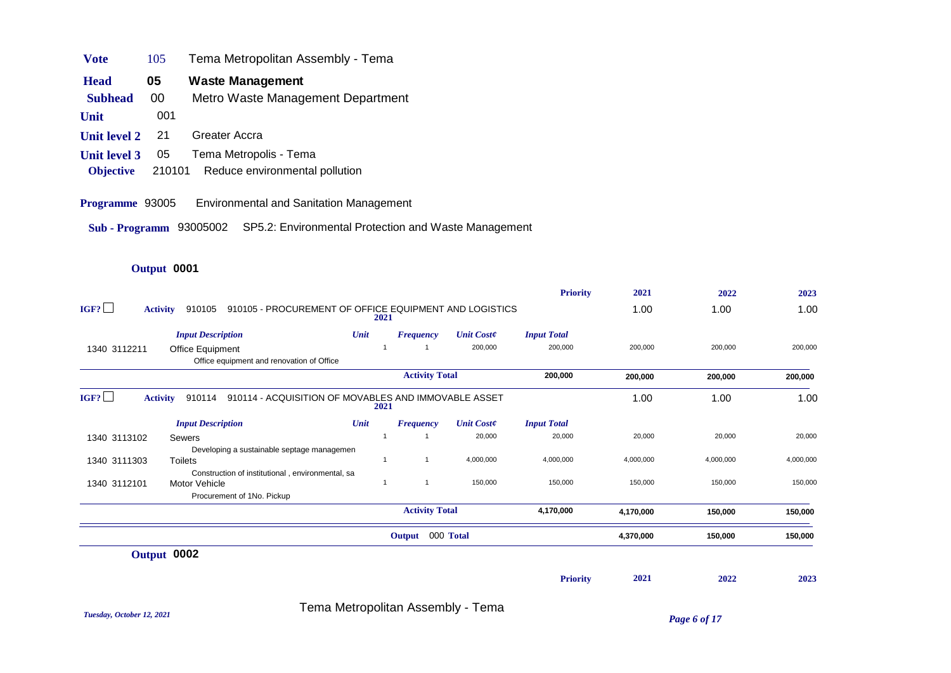| <b>Vote</b> | 105 | Tema Metropolitan Assembly - Tema |
|-------------|-----|-----------------------------------|
| <b>Head</b> | 05  | Waste Management                  |

- **Subhead** 00 Metro Waste Management Department
- **Unit** 001
- **Unit level 2** 21 Greater Accra
- **Unit level 3** 05 Tema Metropolis Tema
- **Objective** 210101 Reduce environmental pollution
- **Programme** 93005 Environmental and Sanitation Management
- **Sub Programm** 93005002 SP5.2: Environmental Protection and Waste Management

|                         |                                                                  |      |                       |                   | <b>Priority</b>    | 2021      | 2022      | 2023      |
|-------------------------|------------------------------------------------------------------|------|-----------------------|-------------------|--------------------|-----------|-----------|-----------|
| IGF?<br><b>Activity</b> | 910105 - PROCUREMENT OF OFFICE EQUIPMENT AND LOGISTICS<br>910105 | 2021 |                       |                   |                    | 1.00      | 1.00      | 1.00      |
|                         | <b>Input Description</b>                                         | Unit | <b>Frequency</b>      | <b>Unit Coste</b> | <b>Input Total</b> |           |           |           |
| 1340 3112211            | <b>Office Equipment</b>                                          |      |                       | 200,000           | 200,000            | 200,000   | 200,000   | 200,000   |
|                         | Office equipment and renovation of Office                        |      |                       |                   |                    |           |           |           |
|                         |                                                                  |      | <b>Activity Total</b> |                   | 200,000            | 200,000   | 200,000   | 200,000   |
| IGF?<br><b>Activity</b> | 910114 - ACQUISITION OF MOVABLES AND IMMOVABLE ASSET<br>910114   | 2021 |                       |                   |                    | 1.00      | 1.00      | 1.00      |
|                         | <b>Input Description</b>                                         | Unit | <b>Frequency</b>      | <b>Unit Coste</b> | <b>Input Total</b> |           |           |           |
| 1340 3113102            | Sewers                                                           |      | -1                    | 20,000            | 20,000             | 20,000    | 20,000    | 20,000    |
|                         | Developing a sustainable septage managemen                       |      |                       |                   |                    |           |           |           |
| 1340 3111303            | <b>Toilets</b>                                                   |      | $\overline{1}$        | 4,000,000         | 4,000,000          | 4,000,000 | 4,000,000 | 4,000,000 |
|                         | Construction of institutional, environmental, sa                 |      |                       |                   |                    |           |           |           |
| 1340 3112101            | Motor Vehicle                                                    |      | $\overline{1}$        | 150,000           | 150,000            | 150,000   | 150,000   | 150,000   |
|                         | Procurement of 1No. Pickup                                       |      |                       |                   |                    |           |           |           |
|                         |                                                                  |      | <b>Activity Total</b> |                   | 4,170,000          | 4,170,000 | 150,000   | 150,000   |
|                         |                                                                  |      | Output 000 Total      |                   |                    | 4,370,000 | 150,000   | 150,000   |
|                         | Output 0002                                                      |      |                       |                   |                    |           |           |           |
|                         |                                                                  |      |                       |                   | <b>Priority</b>    | 2021      | 2022      | 2023      |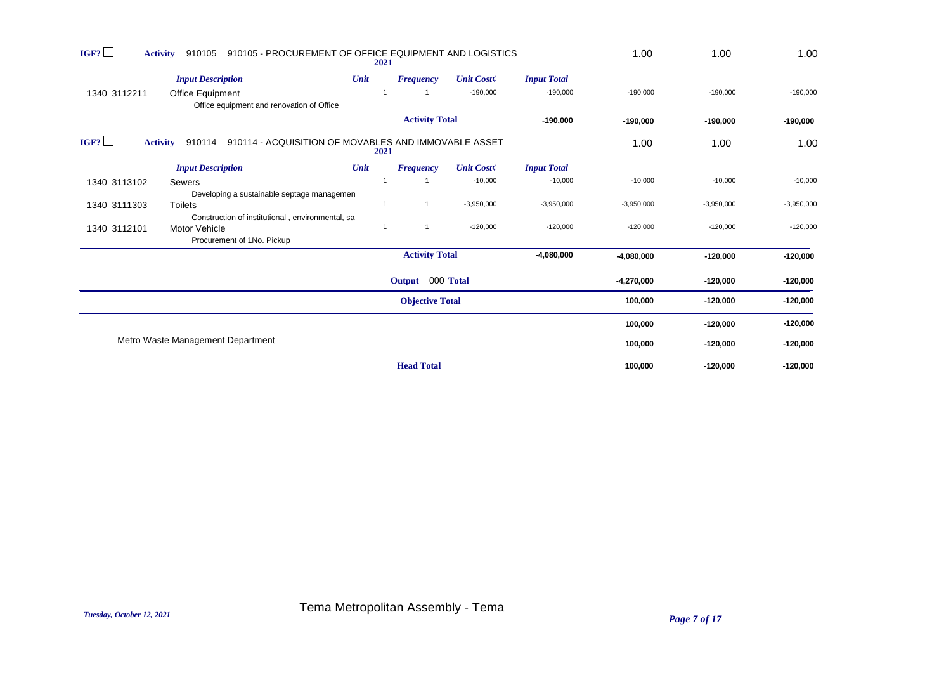| IGF?         | 910105 - PROCUREMENT OF OFFICE EQUIPMENT AND LOGISTICS<br><b>Activity</b><br>910105 |      | 2021                   |                   |                    | 1.00         | 1.00         | 1.00         |
|--------------|-------------------------------------------------------------------------------------|------|------------------------|-------------------|--------------------|--------------|--------------|--------------|
|              | <b>Input Description</b>                                                            | Unit | <b>Frequency</b>       | <b>Unit Coste</b> | <b>Input Total</b> |              |              |              |
| 1340 3112211 | <b>Office Equipment</b><br>Office equipment and renovation of Office                |      |                        | $-190,000$        | $-190,000$         | $-190,000$   | $-190,000$   | $-190,000$   |
|              |                                                                                     |      | <b>Activity Total</b>  |                   | $-190,000$         | $-190,000$   | $-190,000$   | $-190,000$   |
| IGF?         | 910114 - ACQUISITION OF MOVABLES AND IMMOVABLE ASSET<br>910114<br><b>Activity</b>   |      | 2021                   |                   |                    | 1.00         | 1.00         | 1.00         |
|              | <b>Input Description</b>                                                            | Unit | <b>Frequency</b>       | <b>Unit Coste</b> | <b>Input Total</b> |              |              |              |
| 1340 3113102 | Sewers                                                                              |      |                        | $-10,000$         | $-10,000$          | $-10,000$    | $-10,000$    | $-10,000$    |
|              | Developing a sustainable septage managemen                                          |      |                        |                   |                    |              |              |              |
| 1340 3111303 | <b>Toilets</b>                                                                      |      |                        | $-3,950,000$      | $-3,950,000$       | $-3,950,000$ | $-3,950,000$ | $-3,950,000$ |
|              | Construction of institutional, environmental, sa                                    |      |                        |                   |                    |              |              |              |
| 1340 3112101 | Motor Vehicle                                                                       |      |                        | $-120,000$        | $-120,000$         | $-120,000$   | $-120,000$   | $-120,000$   |
|              | Procurement of 1No. Pickup                                                          |      |                        |                   |                    |              |              |              |
|              |                                                                                     |      | <b>Activity Total</b>  |                   | $-4,080,000$       | $-4,080,000$ | $-120,000$   | $-120,000$   |
|              |                                                                                     |      | Output 000 Total       |                   |                    | $-4,270,000$ | $-120,000$   | $-120,000$   |
|              |                                                                                     |      | <b>Objective Total</b> |                   |                    | 100,000      | $-120,000$   | $-120,000$   |
|              |                                                                                     |      |                        |                   |                    | 100,000      | $-120,000$   | $-120,000$   |
|              | Metro Waste Management Department                                                   |      |                        |                   |                    | 100,000      | $-120,000$   | $-120,000$   |
|              |                                                                                     |      | <b>Head Total</b>      |                   |                    | 100,000      | $-120,000$   | $-120,000$   |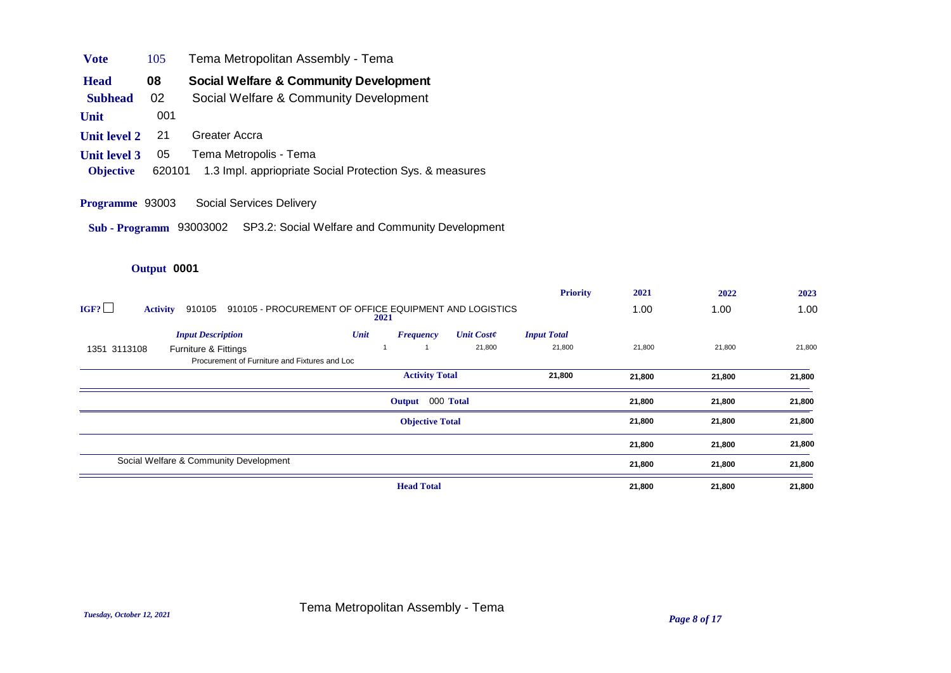| Tema Metropolitan Assembly - Tema<br><b>Vote</b><br>105 |  |  |
|---------------------------------------------------------|--|--|
|---------------------------------------------------------|--|--|

**Head** 08 Social Welfare & Community Development

**Subhead** 02 Social Welfare & Community Development

**Unit** 001

- **Unit level 2** 21 Greater Accra
- **Unit level 3** 05 Tema Metropolis Tema
- **Objective** 620101 1.3 Impl. appriopriate Social Protection Sys. & measures
- **Programme** 93003 Social Services Delivery
- **Sub Programm** 93003002 SP3.2: Social Welfare and Community Development

|                                        |                                                        |                        |                   | <b>Priority</b>    | 2021   | 2022   | 2023   |
|----------------------------------------|--------------------------------------------------------|------------------------|-------------------|--------------------|--------|--------|--------|
| IGF?<br>910105<br><b>Activity</b>      | 910105 - PROCUREMENT OF OFFICE EQUIPMENT AND LOGISTICS | 2021                   |                   |                    | 1.00   | 1.00   | 1.00   |
| <b>Input Description</b>               | Unit                                                   | <b>Frequency</b>       | <b>Unit Coste</b> | <b>Input Total</b> |        |        |        |
| 1351 3113108<br>Furniture & Fittings   |                                                        |                        | 21,800            | 21,800             | 21,800 | 21,800 | 21,800 |
|                                        | Procurement of Furniture and Fixtures and Loc          |                        |                   |                    |        |        |        |
|                                        |                                                        | <b>Activity Total</b>  |                   | 21,800             | 21,800 | 21,800 | 21,800 |
|                                        |                                                        | Output 000 Total       |                   |                    | 21,800 | 21,800 | 21,800 |
|                                        |                                                        | <b>Objective Total</b> |                   |                    | 21,800 | 21,800 | 21,800 |
|                                        |                                                        |                        |                   |                    | 21,800 | 21,800 | 21,800 |
| Social Welfare & Community Development |                                                        |                        |                   |                    | 21,800 | 21,800 | 21,800 |
|                                        |                                                        | <b>Head Total</b>      |                   |                    | 21,800 | 21,800 | 21,800 |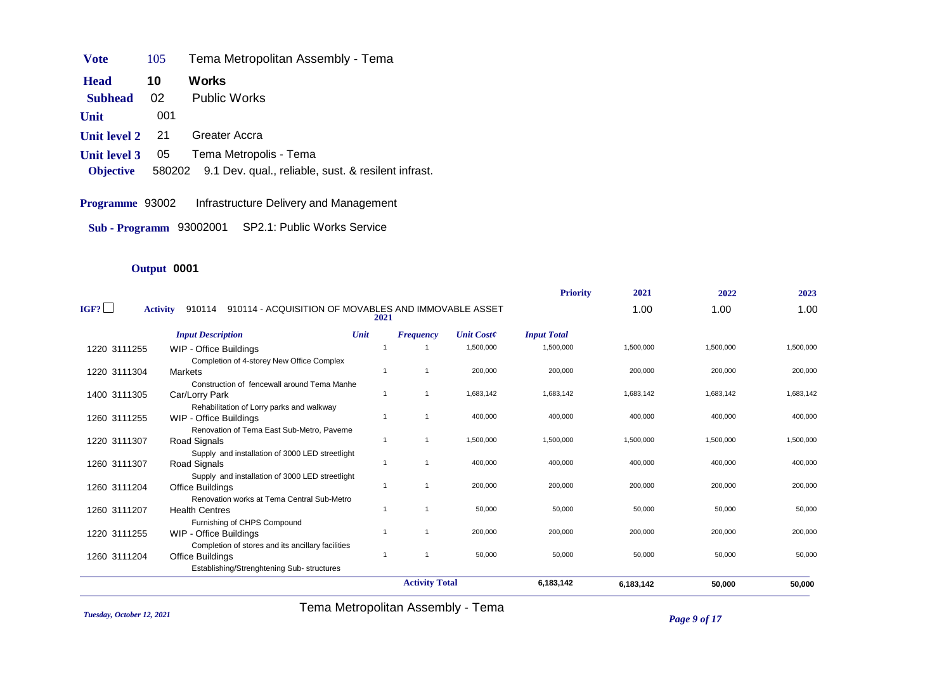**Vote** 105 Tema Metropolitan Assembly - Tema

**Subhead** 02 Public Works **Head** 10 Works

**Unit** 001

- **Unit level 2** 21 Greater Accra
- **Unit level 3** 05 Tema Metropolis Tema
- **Objective** 580202 9.1 Dev. qual., reliable, sust. & resilent infrast.

**Programme** 93002 Infrastructure Delivery and Management

**Sub - Programm** 93002001 SP2.1: Public Works Service

# **Output** 0001

|              |                                                                                   |                |                       |                   | <b>Priority</b>    | 2021      | 2022      | 2023      |
|--------------|-----------------------------------------------------------------------------------|----------------|-----------------------|-------------------|--------------------|-----------|-----------|-----------|
| IGF?         | 910114 - ACQUISITION OF MOVABLES AND IMMOVABLE ASSET<br><b>Activity</b><br>910114 | 2021           |                       |                   |                    | 1.00      | 1.00      | 1.00      |
|              | <b>Input Description</b>                                                          | Unit           | <b>Frequency</b>      | <b>Unit Coste</b> | <b>Input Total</b> |           |           |           |
| 1220 3111255 | WIP - Office Buildings                                                            |                |                       | 1,500,000         | 1,500,000          | 1,500,000 | 1,500,000 | 1,500,000 |
|              | Completion of 4-storey New Office Complex                                         |                |                       |                   |                    |           |           |           |
| 1220 3111304 | Markets                                                                           | $\mathbf 1$    |                       | 200,000           | 200,000            | 200,000   | 200,000   | 200,000   |
|              | Construction of fencewall around Tema Manhe                                       |                |                       |                   |                    |           |           |           |
| 1400 3111305 | Car/Lorry Park                                                                    | -1             |                       | 1,683,142         | 1,683,142          | 1,683,142 | 1,683,142 | 1,683,142 |
|              | Rehabilitation of Lorry parks and walkway                                         |                |                       |                   |                    |           |           |           |
| 1260 3111255 | WIP - Office Buildings                                                            |                |                       | 400,000           | 400,000            | 400.000   | 400.000   | 400,000   |
|              | Renovation of Tema East Sub-Metro, Paveme                                         |                |                       |                   |                    |           |           |           |
| 1220 3111307 | Road Signals                                                                      | -1             |                       | 1,500,000         | 1,500,000          | 1,500,000 | 1,500,000 | 1,500,000 |
|              | Supply and installation of 3000 LED streetlight                                   |                |                       |                   |                    |           |           |           |
| 1260 3111307 | Road Signals                                                                      | $\overline{1}$ |                       | 400,000           | 400,000            | 400,000   | 400,000   | 400,000   |
|              | Supply and installation of 3000 LED streetlight                                   |                |                       |                   |                    |           |           |           |
| 1260 3111204 | Office Buildings                                                                  | -1             |                       | 200,000           | 200,000            | 200,000   | 200,000   | 200,000   |
|              | Renovation works at Tema Central Sub-Metro                                        |                |                       |                   |                    |           |           |           |
| 1260 3111207 | <b>Health Centres</b>                                                             |                |                       | 50,000            | 50,000             | 50,000    | 50,000    | 50,000    |
|              | Furnishing of CHPS Compound                                                       |                |                       |                   |                    |           |           |           |
| 1220 3111255 | WIP - Office Buildings                                                            | -1             |                       | 200,000           | 200,000            | 200,000   | 200,000   | 200,000   |
|              | Completion of stores and its ancillary facilities                                 |                |                       |                   |                    |           |           |           |
| 1260 3111204 | Office Buildings                                                                  | $\mathbf{1}$   | $\overline{1}$        | 50,000            | 50,000             | 50,000    | 50,000    | 50,000    |
|              | Establishing/Strenghtening Sub-structures                                         |                |                       |                   |                    |           |           |           |
|              |                                                                                   |                | <b>Activity Total</b> |                   | 6,183,142          | 6,183,142 | 50,000    | 50,000    |
|              |                                                                                   |                |                       |                   |                    |           |           |           |

*Tuesday, October 12, 2021 Page 9 of 17* Tema Metropolitan Assembly - Tema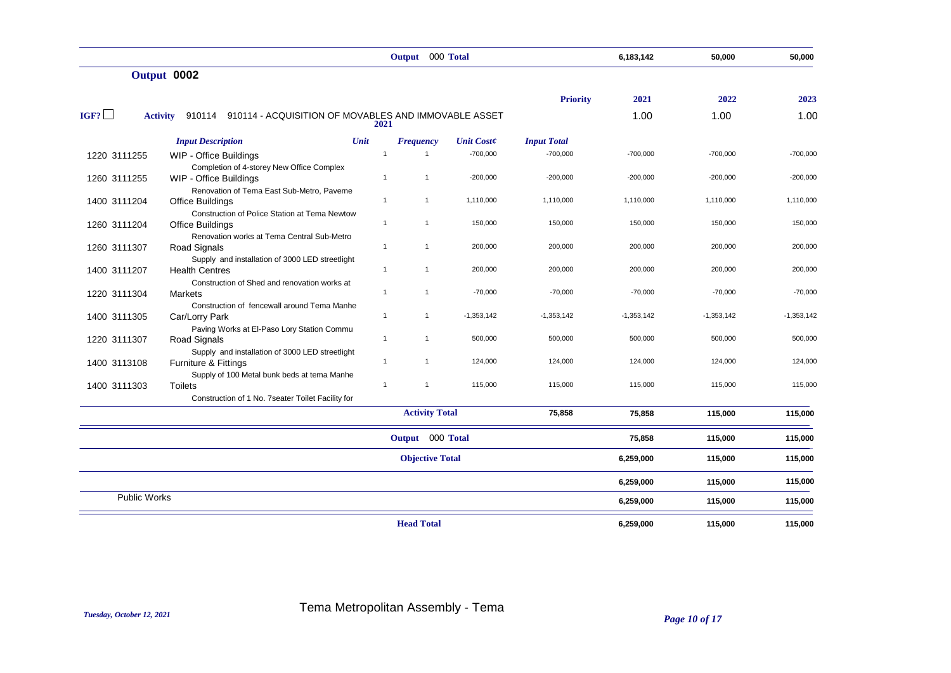|                     |                                                                                |                | Output 000 Total       |                   |                    | 6,183,142    | 50,000       | 50,000       |
|---------------------|--------------------------------------------------------------------------------|----------------|------------------------|-------------------|--------------------|--------------|--------------|--------------|
|                     | Output 0002                                                                    |                |                        |                   |                    |              |              |              |
|                     |                                                                                |                |                        |                   | <b>Priority</b>    | 2021         | 2022         | 2023         |
| IGF?                | 910114 910114 - ACQUISITION OF MOVABLES AND IMMOVABLE ASSET<br><b>Activity</b> | 2021           |                        |                   |                    | 1.00         | 1.00         | 1.00         |
|                     | Unit<br><b>Input Description</b>                                               |                | <b>Frequency</b>       | <b>Unit Coste</b> | <b>Input Total</b> |              |              |              |
| 1220 3111255        | WIP - Office Buildings                                                         | $\overline{1}$ | $\mathbf{1}$           | $-700,000$        | $-700,000$         | $-700,000$   | $-700,000$   | $-700,000$   |
| 1260 3111255        | Completion of 4-storey New Office Complex<br>WIP - Office Buildings            | $\mathbf{1}$   | $\mathbf{1}$           | $-200,000$        | $-200,000$         | $-200,000$   | $-200,000$   | $-200,000$   |
|                     | Renovation of Tema East Sub-Metro, Paveme                                      |                |                        |                   |                    |              |              |              |
| 1400 3111204        | <b>Office Buildings</b>                                                        | $\mathbf{1}$   | $\mathbf{1}$           | 1,110,000         | 1,110,000          | 1,110,000    | 1,110,000    | 1,110,000    |
| 1260 3111204        | Construction of Police Station at Tema Newtow<br><b>Office Buildings</b>       | $\mathbf{1}$   | $\mathbf{1}$           | 150,000           | 150,000            | 150,000      | 150,000      | 150,000      |
| 1260 3111307        | Renovation works at Tema Central Sub-Metro<br><b>Road Signals</b>              | $\mathbf{1}$   | $\mathbf{1}$           | 200,000           | 200,000            | 200,000      | 200,000      | 200,000      |
|                     | Supply and installation of 3000 LED streetlight                                |                |                        |                   |                    |              |              |              |
| 1400 3111207        | <b>Health Centres</b><br>Construction of Shed and renovation works at          | $\mathbf{1}$   | $\mathbf{1}$           | 200,000           | 200,000            | 200,000      | 200,000      | 200,000      |
| 1220 3111304        | <b>Markets</b>                                                                 | $\mathbf{1}$   | $\mathbf{1}$           | $-70,000$         | $-70,000$          | $-70,000$    | $-70,000$    | $-70,000$    |
| 1400 3111305        | Construction of fencewall around Tema Manhe<br>Car/Lorry Park                  | $\mathbf{1}$   | $\mathbf{1}$           | $-1,353,142$      | $-1,353,142$       | $-1,353,142$ | $-1,353,142$ | $-1,353,142$ |
|                     | Paving Works at El-Paso Lory Station Commu                                     |                |                        |                   |                    |              |              |              |
| 1220 3111307        | Road Signals                                                                   | $\mathbf{1}$   | $\mathbf{1}$           | 500,000           | 500,000            | 500,000      | 500,000      | 500,000      |
| 1400 3113108        | Supply and installation of 3000 LED streetlight<br>Furniture & Fittings        | $\mathbf{1}$   | $\mathbf{1}$           | 124,000           | 124,000            | 124,000      | 124,000      | 124,000      |
|                     | Supply of 100 Metal bunk beds at tema Manhe                                    |                |                        |                   |                    |              |              |              |
| 1400 3111303        | <b>Toilets</b>                                                                 | $\mathbf{1}$   | $\mathbf{1}$           | 115,000           | 115,000            | 115,000      | 115,000      | 115,000      |
|                     | Construction of 1 No. 7 seater Toilet Facility for                             |                |                        |                   |                    |              |              |              |
|                     |                                                                                |                | <b>Activity Total</b>  |                   | 75,858             | 75,858       | 115,000      | 115,000      |
|                     |                                                                                |                | Output 000 Total       |                   |                    | 75,858       | 115,000      | 115,000      |
|                     |                                                                                |                | <b>Objective Total</b> |                   |                    | 6,259,000    | 115,000      | 115,000      |
|                     |                                                                                |                |                        |                   |                    | 6,259,000    | 115,000      | 115,000      |
| <b>Public Works</b> |                                                                                |                |                        |                   |                    | 6,259,000    | 115,000      | 115,000      |
|                     |                                                                                |                | <b>Head Total</b>      |                   |                    | 6,259,000    | 115,000      | 115,000      |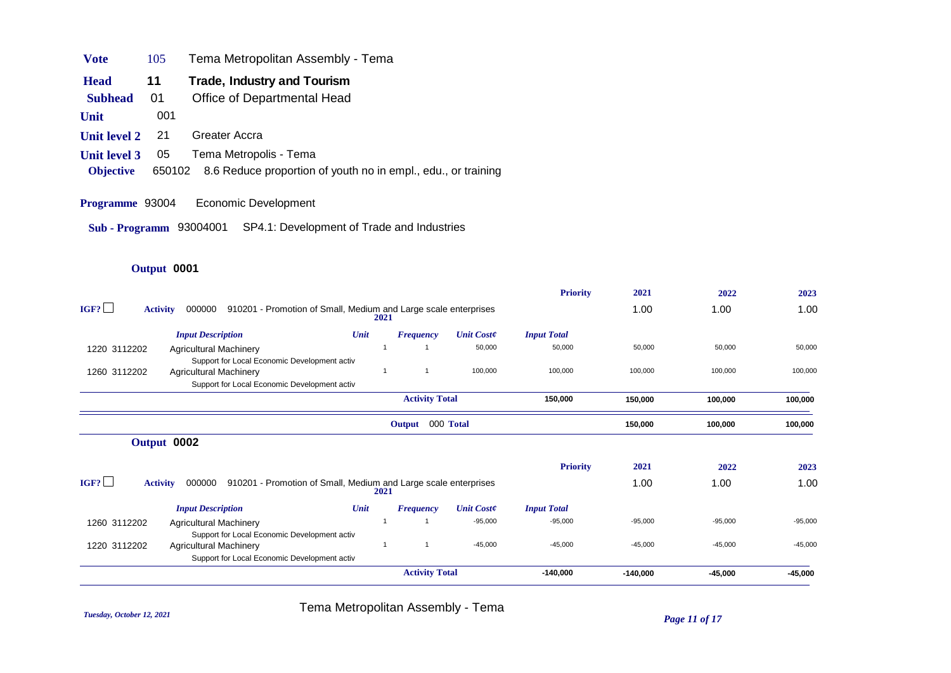| <b>V</b> ote | 105 | Tema Metropolitan Assembly - Tema |  |  |
|--------------|-----|-----------------------------------|--|--|
|--------------|-----|-----------------------------------|--|--|

- **Head** 11 Trade, Industry and Tourism
- **Subhead** 01 Office of Departmental Head
- **Unit** 001
- **Unit level 2** 21 Greater Accra
- **Unit level 3** 05 Tema Metropolis Tema
- **Objective** 650102 8.6 Reduce proportion of youth no in empl., edu., or training
- **Programme** 93004 Economic Development
- **Sub Programm** 93004001 SP4.1: Development of Trade and Industries

#### **Output** 0001

|              |                                                                                              |      |                       |                   | <b>Priority</b>    | 2021       | 2022      | 2023      |
|--------------|----------------------------------------------------------------------------------------------|------|-----------------------|-------------------|--------------------|------------|-----------|-----------|
| IGF?         | 910201 - Promotion of Small, Medium and Large scale enterprises<br><b>Activity</b><br>000000 |      | 2021                  |                   |                    | 1.00       | 1.00      | 1.00      |
|              | <b>Input Description</b>                                                                     | Unit | <b>Frequency</b>      | <b>Unit Coste</b> | <b>Input Total</b> |            |           |           |
| 1220 3112202 | <b>Agricultural Machinery</b>                                                                |      |                       | 50,000            | 50,000             | 50,000     | 50,000    | 50,000    |
|              | Support for Local Economic Development activ                                                 |      |                       |                   |                    |            |           |           |
| 1260 3112202 | <b>Agricultural Machinery</b>                                                                |      |                       | 100,000           | 100,000            | 100,000    | 100,000   | 100,000   |
|              | Support for Local Economic Development activ                                                 |      |                       |                   |                    |            |           |           |
|              |                                                                                              |      | <b>Activity Total</b> |                   | 150,000            | 150,000    | 100,000   | 100,000   |
|              |                                                                                              |      | Output                | 000 Total         |                    | 150,000    | 100,000   | 100,000   |
|              | Output 0002                                                                                  |      |                       |                   |                    |            |           |           |
|              |                                                                                              |      |                       |                   | <b>Priority</b>    | 2021       | 2022      | 2023      |
| IGF?         | 910201 - Promotion of Small, Medium and Large scale enterprises<br>000000<br><b>Activity</b> |      | 2021                  |                   |                    | 1.00       | 1.00      | 1.00      |
|              | <b>Input Description</b>                                                                     | Unit | <b>Frequency</b>      | <b>Unit Coste</b> | <b>Input Total</b> |            |           |           |
| 1260 3112202 | <b>Agricultural Machinery</b>                                                                |      |                       | $-95,000$         | $-95,000$          | $-95,000$  | $-95,000$ | $-95,000$ |
|              | Support for Local Economic Development activ                                                 |      |                       |                   |                    |            |           |           |
| 1220 3112202 | <b>Agricultural Machinery</b>                                                                |      |                       | $-45,000$         | $-45,000$          | $-45,000$  | $-45,000$ | $-45,000$ |
|              | Support for Local Economic Development activ                                                 |      |                       |                   |                    |            |           |           |
|              |                                                                                              |      | <b>Activity Total</b> |                   | $-140,000$         | $-140,000$ | $-45,000$ | $-45,000$ |

*Tuesday, October 12, 2021 Page 11 of 17* Tema Metropolitan Assembly - Tema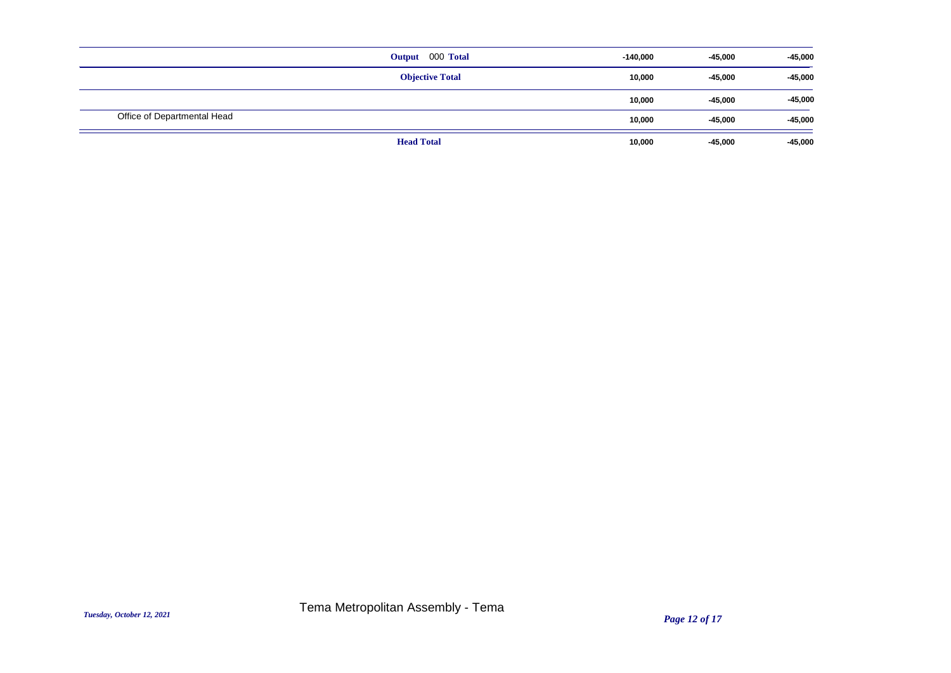|                             | Output 000 Total       | $-140,000$ | $-45,000$ | $-45,000$ |
|-----------------------------|------------------------|------------|-----------|-----------|
|                             | <b>Objective Total</b> | 10,000     | $-45,000$ | $-45,000$ |
|                             |                        | 10,000     | $-45,000$ | $-45,000$ |
| Office of Departmental Head |                        | 10,000     | $-45,000$ | $-45,000$ |
|                             | <b>Head Total</b>      | 10,000     | $-45,000$ | $-45,000$ |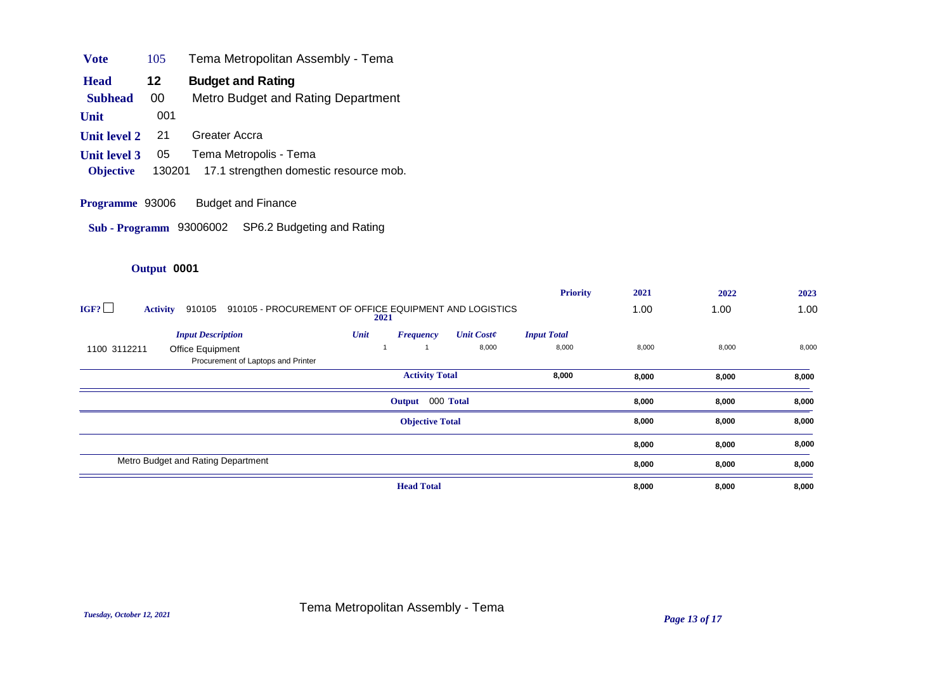| <b>Vote</b>         | 105    | Tema Metropolitan Assembly - Tema      |
|---------------------|--------|----------------------------------------|
| <b>Head</b>         | 12     | <b>Budget and Rating</b>               |
| <b>Subhead</b>      | 00     | Metro Budget and Rating Department     |
| Unit                | 001    |                                        |
| <b>Unit level 2</b> | 21     | Greater Accra                          |
| <b>Unit level 3</b> | 05     | Tema Metropolis - Tema                 |
| <b>Objective</b>    | 130201 | 17.1 strengthen domestic resource mob. |

**Programme** 93006 Budget and Finance

**Sub - Programm** 93006002 SP6.2 Budgeting and Rating

|                                                                                                     | <b>Priority</b>    | 2021  | 2022  | 2023  |
|-----------------------------------------------------------------------------------------------------|--------------------|-------|-------|-------|
| IGF?<br>910105 - PROCUREMENT OF OFFICE EQUIPMENT AND LOGISTICS<br>910105<br><b>Activity</b><br>2021 |                    | 1.00  | 1.00  | 1.00  |
| Unit<br><b>Unit Coste</b><br><b>Input Description</b><br><b>Frequency</b>                           | <b>Input Total</b> |       |       |       |
| 8,000<br>1100 3112211<br>Office Equipment                                                           | 8,000              | 8,000 | 8,000 | 8,000 |
| Procurement of Laptops and Printer                                                                  |                    |       |       |       |
| <b>Activity Total</b>                                                                               | 8,000              | 8,000 | 8,000 | 8,000 |
| Output 000 Total                                                                                    |                    | 8,000 | 8,000 | 8,000 |
| <b>Objective Total</b>                                                                              |                    | 8,000 | 8,000 | 8,000 |
|                                                                                                     |                    | 8,000 | 8,000 | 8,000 |
| Metro Budget and Rating Department                                                                  |                    | 8,000 | 8,000 | 8,000 |
| <b>Head Total</b>                                                                                   |                    | 8,000 | 8,000 | 8,000 |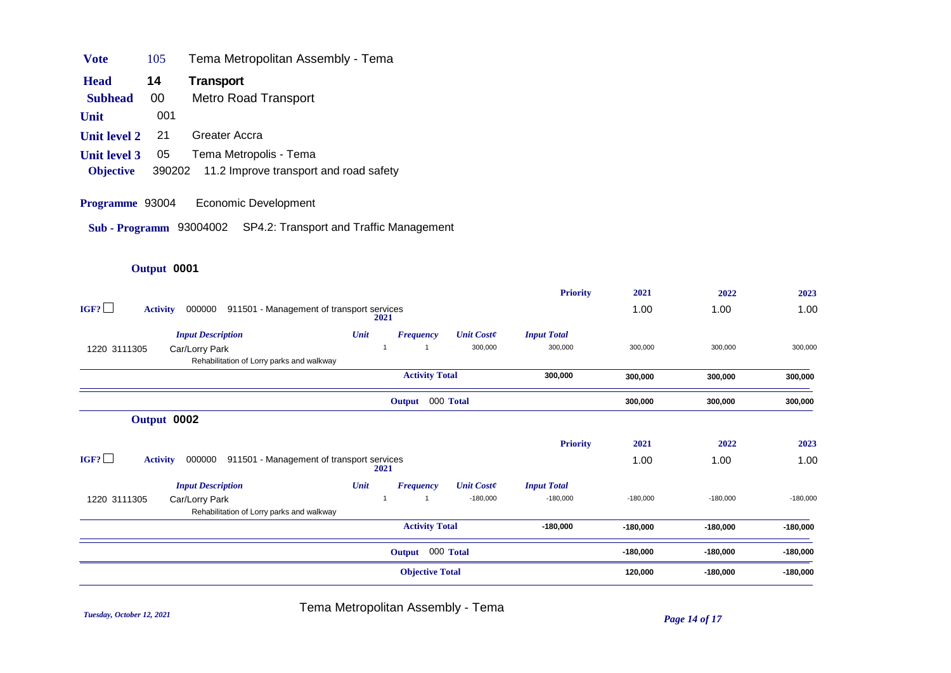| Vote                | 105 | Tema Metropolitan Assembly - Tema             |
|---------------------|-----|-----------------------------------------------|
| <b>Head</b>         | 14  | Transport                                     |
| <b>Subhead</b>      | 00  | <b>Metro Road Transport</b>                   |
| Unit                | 001 |                                               |
| <b>Unit level 2</b> | 21  | Greater Accra                                 |
| <b>Unit level 3</b> | 05  | Tema Metropolis - Tema                        |
| <b>Objective</b>    |     | 390202 11.2 Improve transport and road safety |

**Programme** 93004 Economic Development

**Sub - Programm** 93004002 SP4.2: Transport and Traffic Management

# **Output** 0001

|                         |                                                             |      |                        |                   | <b>Priority</b>    | 2021       | 2022       | 2023       |
|-------------------------|-------------------------------------------------------------|------|------------------------|-------------------|--------------------|------------|------------|------------|
| IGF?<br><b>Activity</b> | 911501 - Management of transport services<br>000000         | 2021 |                        |                   |                    | 1.00       | 1.00       | 1.00       |
|                         | <b>Input Description</b>                                    | Unit | <b>Frequency</b>       | <b>Unit Coste</b> | <b>Input Total</b> |            |            |            |
| 1220 3111305            | Car/Lorry Park<br>Rehabilitation of Lorry parks and walkway |      |                        | 300,000           | 300,000            | 300,000    | 300,000    | 300,000    |
|                         |                                                             |      | <b>Activity Total</b>  |                   | 300,000            | 300,000    | 300,000    | 300,000    |
|                         |                                                             |      | Output                 | 000 Total         |                    | 300,000    | 300,000    | 300,000    |
|                         | Output 0002                                                 |      |                        |                   |                    |            |            |            |
|                         |                                                             |      |                        |                   | <b>Priority</b>    | 2021       | 2022       | 2023       |
| IGF?<br><b>Activity</b> | 000000<br>911501 - Management of transport services         | 2021 |                        |                   |                    | 1.00       | 1.00       | 1.00       |
|                         | <b>Input Description</b>                                    | Unit | <b>Frequency</b>       | <b>Unit Coste</b> | <b>Input Total</b> |            |            |            |
| 1220 3111305            | Car/Lorry Park<br>Rehabilitation of Lorry parks and walkway |      |                        | $-180,000$        | $-180,000$         | $-180,000$ | $-180,000$ | $-180,000$ |
|                         |                                                             |      | <b>Activity Total</b>  |                   | $-180,000$         | $-180,000$ | $-180,000$ | $-180,000$ |
|                         |                                                             |      | Output 000 Total       |                   |                    | $-180,000$ | $-180,000$ | $-180,000$ |
|                         |                                                             |      | <b>Objective Total</b> |                   |                    | 120,000    | $-180,000$ | $-180,000$ |

*Tuesday, October 12, 2021 Page 14 of 17* Tema Metropolitan Assembly - Tema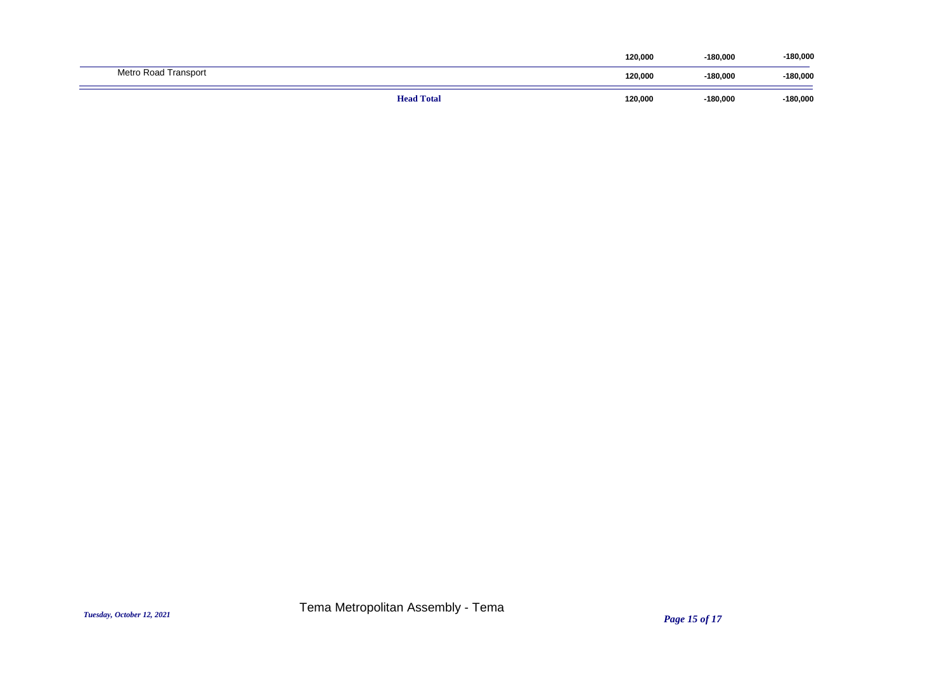| Metro Road Transport | 120,000 | $-180,000$ | $-180,000$ |
|----------------------|---------|------------|------------|
| <b>Head Total</b>    | 120,000 | $-180,000$ | $-180,000$ |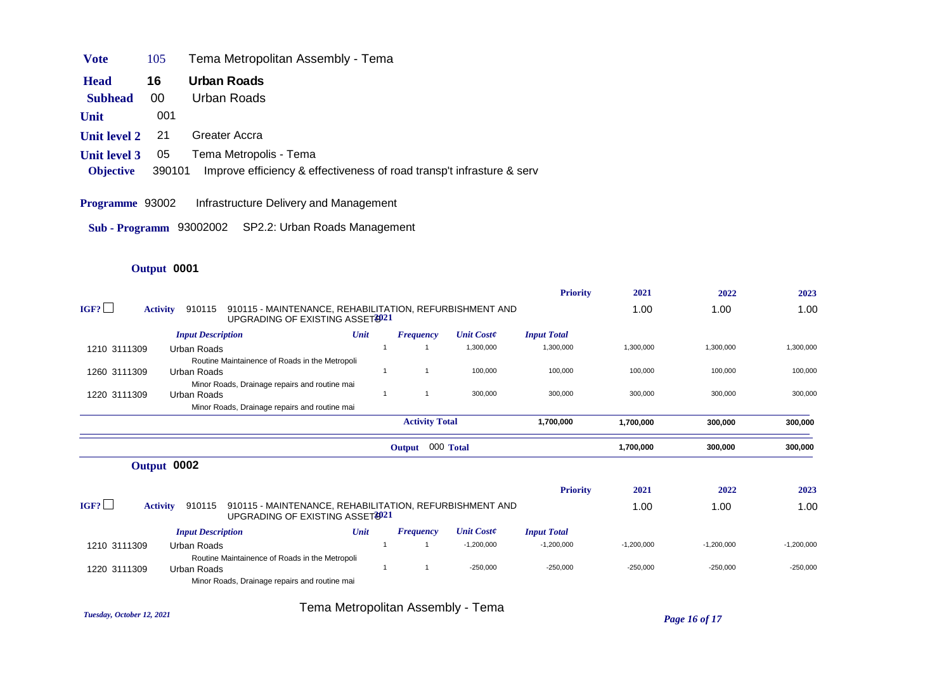| <b>V</b> ote | 105 | Tema Metropolitan Assembly - Tema |  |  |
|--------------|-----|-----------------------------------|--|--|
|--------------|-----|-----------------------------------|--|--|

| 16<br><b>Head</b> | Urban Roads |
|-------------------|-------------|
|-------------------|-------------|

- **Subhead** 00 Urban Roads
- **Unit** 001
- **Unit level 2** 21 Greater Accra
- **Unit level 3** 05 Tema Metropolis Tema
- **Objective** 390101 Improve efficiency & effectiveness of road transp't infrasture & serv

#### **Programme** 93002 Infrastructure Delivery and Management

### **Output** 0001

|              |                           |                                                                                             |                                    |                  |                   | <b>Priority</b>    | 2021         | 2022         | 2023         |
|--------------|---------------------------|---------------------------------------------------------------------------------------------|------------------------------------|------------------|-------------------|--------------------|--------------|--------------|--------------|
| IGF?         | 910115<br><b>Activity</b> | 910115 - MAINTENANCE, REHABILITATION, REFURBISHMENT AND<br>UPGRADING OF EXISTING ASSET 3021 |                                    |                  |                   |                    | 1.00         | 1.00         | 1.00         |
|              | <b>Input Description</b>  |                                                                                             | Unit                               | <b>Frequency</b> | <b>Unit Coste</b> | <b>Input Total</b> |              |              |              |
| 1210 3111309 | Urban Roads               |                                                                                             |                                    |                  | 1,300,000         | 1,300,000          | 1,300,000    | 1,300,000    | 1,300,000    |
|              |                           | Routine Maintainence of Roads in the Metropoli                                              |                                    |                  |                   |                    |              |              |              |
| 1260 3111309 | Urban Roads               |                                                                                             |                                    |                  | 100,000           | 100,000            | 100,000      | 100,000      | 100,000      |
|              |                           | Minor Roads, Drainage repairs and routine mai                                               |                                    |                  |                   |                    |              |              |              |
| 1220 3111309 | Urban Roads               |                                                                                             |                                    | $\overline{1}$   | 300,000           | 300,000            | 300,000      | 300,000      | 300,000      |
|              |                           | Minor Roads, Drainage repairs and routine mai                                               |                                    |                  |                   |                    |              |              |              |
|              |                           |                                                                                             | <b>Activity Total</b><br>1,700,000 |                  |                   |                    |              | 300,000      | 300,000      |
|              | 000 Total<br>Output       |                                                                                             |                                    |                  |                   |                    |              |              | 300,000      |
|              | Output 0002               |                                                                                             |                                    |                  |                   |                    |              |              |              |
|              |                           |                                                                                             |                                    |                  |                   | <b>Priority</b>    | 2021         | 2022         | 2023         |
| IGF?         | 910115<br><b>Activity</b> | 910115 - MAINTENANCE, REHABILITATION, REFURBISHMENT AND<br>UPGRADING OF EXISTING ASSET 3021 |                                    |                  |                   |                    | 1.00         | 1.00         | 1.00         |
|              | <b>Input Description</b>  |                                                                                             | Unit                               | <b>Frequency</b> | <b>Unit Coste</b> | <b>Input Total</b> |              |              |              |
| 1210 3111309 | Urban Roads               |                                                                                             |                                    |                  | $-1,200,000$      | $-1,200,000$       | $-1,200,000$ | $-1,200,000$ | $-1,200,000$ |
|              |                           | Routine Maintainence of Roads in the Metropoli                                              |                                    |                  |                   |                    |              |              |              |
| 1220 3111309 | Urban Roads               |                                                                                             |                                    |                  | $-250,000$        | $-250,000$         | $-250,000$   | $-250,000$   | $-250,000$   |
|              |                           | Minor Roads, Drainage repairs and routine mai                                               |                                    |                  |                   |                    |              |              |              |

*Tuesday, October 12, 2021 Page 16 of 17* Tema Metropolitan Assembly - Tema

**Sub - Programm** 93002002 SP2.2: Urban Roads Management